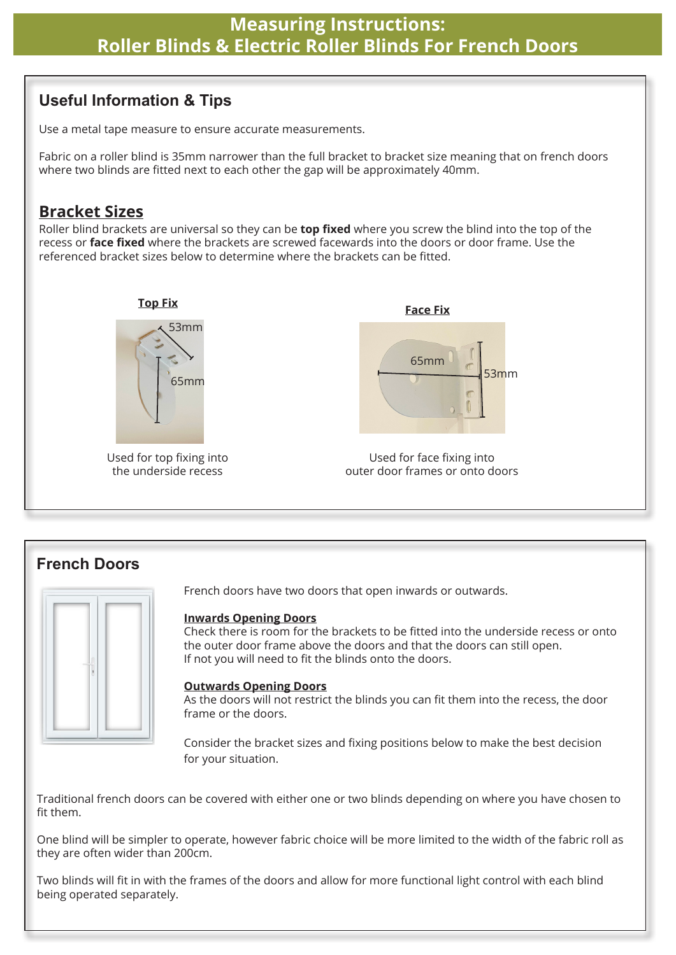## **Useful Information & Tips**

Use a metal tape measure to ensure accurate measurements.

Fabric on a roller blind is 35mm narrower than the full bracket to bracket size meaning that on french doors where two blinds are fitted next to each other the gap will be approximately 40mm.

## **Bracket Sizes**

Roller blind brackets are universal so they can be **top fixed** where you screw the blind into the top of the recess or **face fixed** where the brackets are screwed facewards into the doors or door frame. Use the referenced bracket sizes below to determine where the brackets can be fitted.



## **French Doors**



French doors have two doors that open inwards or outwards.

#### **Inwards Opening Doors**

Check there is room for the brackets to be fitted into the underside recess or onto the outer door frame above the doors and that the doors can still open. If not you will need to fit the blinds onto the doors.

#### **Outwards Opening Doors**

As the doors will not restrict the blinds you can fit them into the recess, the door frame or the doors.

Consider the bracket sizes and fixing positions below to make the best decision for your situation.

Traditional french doors can be covered with either one or two blinds depending on where you have chosen to fit them.

One blind will be simpler to operate, however fabric choice will be more limited to the width of the fabric roll as they are often wider than 200cm.

Two blinds will fit in with the frames of the doors and allow for more functional light control with each blind being operated separately.